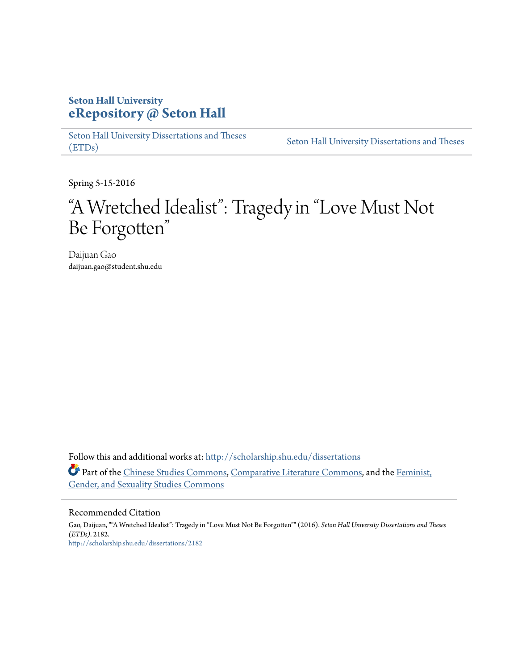## **Seton Hall University [eRepository @ Seton Hall](http://scholarship.shu.edu?utm_source=scholarship.shu.edu%2Fdissertations%2F2182&utm_medium=PDF&utm_campaign=PDFCoverPages)**

[Seton Hall University Dissertations and Theses](http://scholarship.shu.edu/dissertations?utm_source=scholarship.shu.edu%2Fdissertations%2F2182&utm_medium=PDF&utm_campaign=PDFCoverPages) [\(ETDs\)](http://scholarship.shu.edu/dissertations?utm_source=scholarship.shu.edu%2Fdissertations%2F2182&utm_medium=PDF&utm_campaign=PDFCoverPages)

[Seton Hall University Dissertations and Theses](http://scholarship.shu.edu/etds?utm_source=scholarship.shu.edu%2Fdissertations%2F2182&utm_medium=PDF&utm_campaign=PDFCoverPages)

Spring 5-15-2016

# "A Wretched Idealist": Tragedy in "Love Must Not Be Forgotten "

Daijuan Gao daijuan.gao@student.shu.edu

Follow this and additional works at: [http://scholarship.shu.edu/dissertations](http://scholarship.shu.edu/dissertations?utm_source=scholarship.shu.edu%2Fdissertations%2F2182&utm_medium=PDF&utm_campaign=PDFCoverPages) Part of the [Chinese Studies Commons](http://network.bepress.com/hgg/discipline/1081?utm_source=scholarship.shu.edu%2Fdissertations%2F2182&utm_medium=PDF&utm_campaign=PDFCoverPages), [Comparative Literature Commons](http://network.bepress.com/hgg/discipline/454?utm_source=scholarship.shu.edu%2Fdissertations%2F2182&utm_medium=PDF&utm_campaign=PDFCoverPages), and the [Feminist,](http://network.bepress.com/hgg/discipline/559?utm_source=scholarship.shu.edu%2Fdissertations%2F2182&utm_medium=PDF&utm_campaign=PDFCoverPages) [Gender, and Sexuality Studies Commons](http://network.bepress.com/hgg/discipline/559?utm_source=scholarship.shu.edu%2Fdissertations%2F2182&utm_medium=PDF&utm_campaign=PDFCoverPages)

## Recommended Citation

Gao, Daijuan, ""A Wretched Idealist": Tragedy in "Love Must Not Be Forgotten"" (2016). *Seton Hall University Dissertations and Theses (ETDs)*. 2182. [http://scholarship.shu.edu/dissertations/2182](http://scholarship.shu.edu/dissertations/2182?utm_source=scholarship.shu.edu%2Fdissertations%2F2182&utm_medium=PDF&utm_campaign=PDFCoverPages)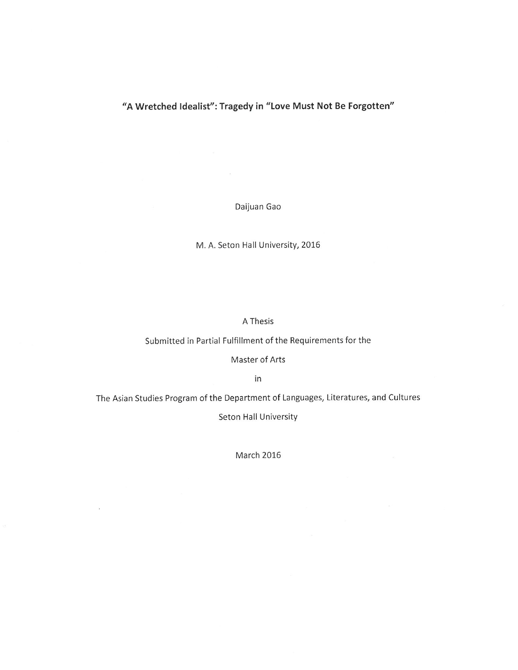## "A Wretched Idealist": Tragedy in "Love Must Not Be Forgotten"

Daijuan Gao

 $\mathbb{R}^{\mathbb{N}}$ 

M. A. Seton Hall University, 2016

## A Thesis

Submitted in Partial Fulfillment of the Requirements for the

Master of Arts

in

The Asian Studies Program of the Department of Languages, Literatures, and Cultures

Seton Hall University

March 2016

 $\alpha$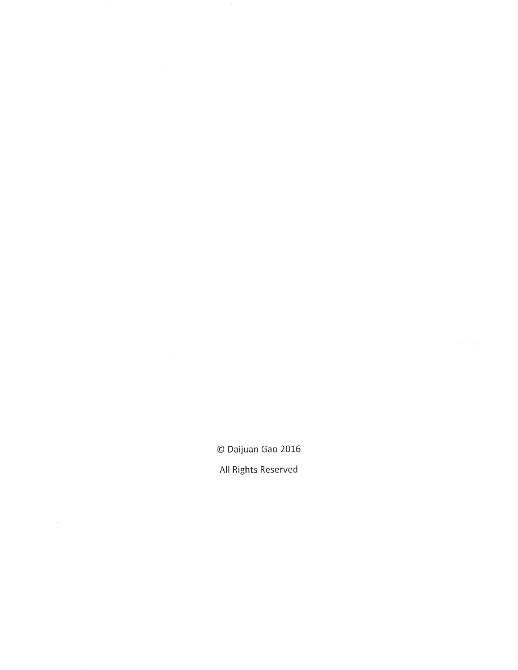© Daijuan Gao 2016 All Rights Reserved

 $\bar{\beta}$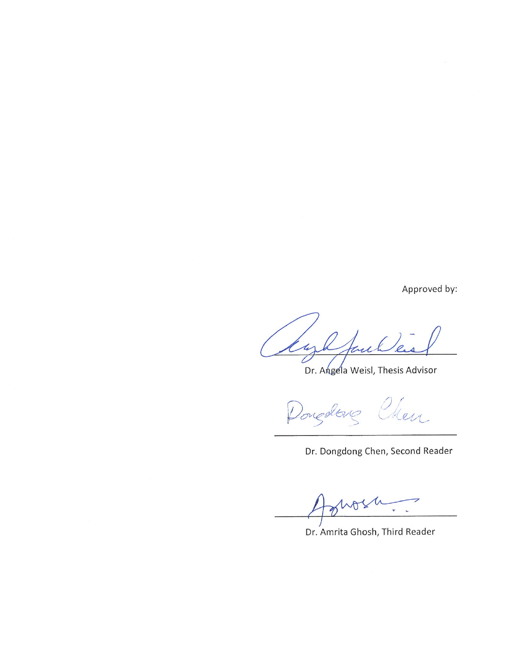Approved by:

 $\ell$ u thick 'e  $\overline{\mathcal{L}}$ 

Dr. Angela Weisl, Thesis Advisor

leu

Dr. Dongdong Chen, Second Reader

 $102$ Ŋ

Dr. Amrita Ghosh, Third Reader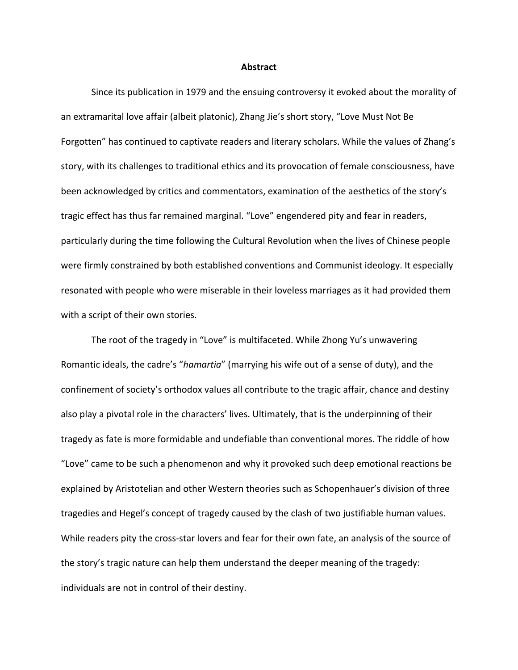#### **Abstract**

Since its publication in 1979 and the ensuing controversy it evoked about the morality of an extramarital love affair (albeit platonic), Zhang Jie's short story, "Love Must Not Be Forgotten" has continued to captivate readers and literary scholars. While the values of Zhang's story, with its challenges to traditional ethics and its provocation of female consciousness, have been acknowledged by critics and commentators, examination of the aesthetics of the story's tragic effect has thus far remained marginal. "Love" engendered pity and fear in readers, particularly during the time following the Cultural Revolution when the lives of Chinese people were firmly constrained by both established conventions and Communist ideology. It especially resonated with people who were miserable in their loveless marriages as it had provided them with a script of their own stories.

The root of the tragedy in "Love" is multifaceted. While Zhong Yu's unwavering Romantic ideals, the cadre's "*hamartia*" (marrying his wife out of a sense of duty), and the confinement of society's orthodox values all contribute to the tragic affair, chance and destiny also play a pivotal role in the characters' lives. Ultimately, that is the underpinning of their tragedy as fate is more formidable and undefiable than conventional mores. The riddle of how "Love" came to be such a phenomenon and why it provoked such deep emotional reactions be explained by Aristotelian and other Western theories such as Schopenhauer's division of three tragedies and Hegel's concept of tragedy caused by the clash of two justifiable human values. While readers pity the cross-star lovers and fear for their own fate, an analysis of the source of the story's tragic nature can help them understand the deeper meaning of the tragedy: individuals are not in control of their destiny.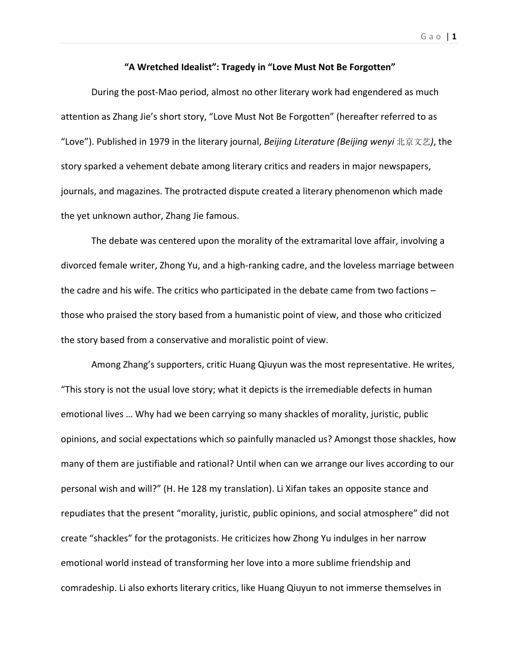**"A Wretched Idealist": Tragedy in "Love Must Not Be Forgotten"**

During the post‐Mao period, almost no other literary work had engendered as much attention as Zhang Jie's short story, "Love Must Not Be Forgotten" (hereafter referred to as "Love"). Published in 1979 in the literary journal, *Beijing Literature (Beijing wenyi* 北京文艺*)*, the story sparked a vehement debate among literary critics and readers in major newspapers, journals, and magazines. The protracted dispute created a literary phenomenon which made the yet unknown author, Zhang Jie famous.

The debate was centered upon the morality of the extramarital love affair, involving a divorced female writer, Zhong Yu, and a high‐ranking cadre, and the loveless marriage between the cadre and his wife. The critics who participated in the debate came from two factions – those who praised the story based from a humanistic point of view, and those who criticized the story based from a conservative and moralistic point of view.

Among Zhang's supporters, critic Huang Qiuyun was the most representative. He writes, "This story is not the usual love story; what it depicts is the irremediable defects in human emotional lives … Why had we been carrying so many shackles of morality, juristic, public opinions, and social expectations which so painfully manacled us? Amongst those shackles, how many of them are justifiable and rational? Until when can we arrange our lives according to our personal wish and will?" (H. He 128 my translation). Li Xifan takes an opposite stance and repudiates that the present "morality, juristic, public opinions, and social atmosphere" did not create "shackles" for the protagonists. He criticizes how Zhong Yu indulges in her narrow emotional world instead of transforming her love into a more sublime friendship and comradeship. Li also exhorts literary critics, like Huang Qiuyun to not immerse themselves in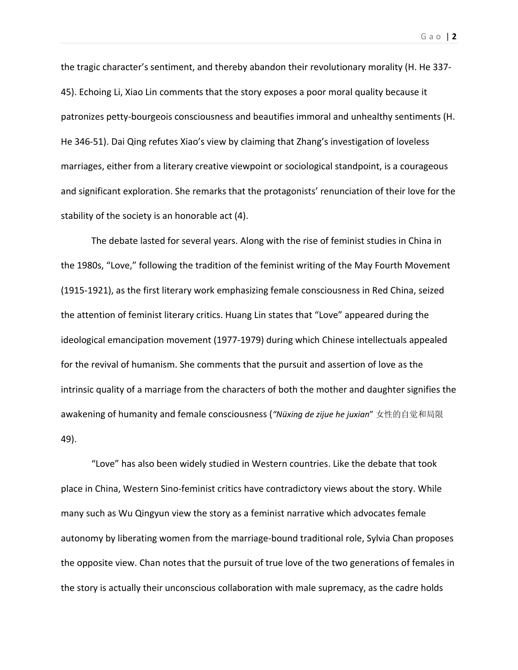the tragic character's sentiment, and thereby abandon their revolutionary morality (H. He 337‐ 45). Echoing Li, Xiao Lin comments that the story exposes a poor moral quality because it patronizes petty‐bourgeois consciousness and beautifies immoral and unhealthy sentiments (H. He 346‐51). Dai Qing refutes Xiao's view by claiming that Zhang's investigation of loveless marriages, either from a literary creative viewpoint or sociological standpoint, is a courageous and significant exploration. She remarks that the protagonists' renunciation of their love for the stability of the society is an honorable act (4).

The debate lasted for several years. Along with the rise of feminist studies in China in the 1980s, "Love," following the tradition of the feminist writing of the May Fourth Movement (1915‐1921), as the first literary work emphasizing female consciousness in Red China, seized the attention of feminist literary critics. Huang Lin states that "Love" appeared during the ideological emancipation movement (1977‐1979) during which Chinese intellectuals appealed for the revival of humanism. She comments that the pursuit and assertion of love as the intrinsic quality of a marriage from the characters of both the mother and daughter signifies the awakening of humanity and female consciousness (*"Nüxing de zijue he juxian*" 女性的自觉和局限 49).

"Love" has also been widely studied in Western countries. Like the debate that took place in China, Western Sino‐feminist critics have contradictory views about the story. While many such as Wu Qingyun view the story as a feminist narrative which advocates female autonomy by liberating women from the marriage‐bound traditional role, Sylvia Chan proposes the opposite view. Chan notes that the pursuit of true love of the two generations of females in the story is actually their unconscious collaboration with male supremacy, as the cadre holds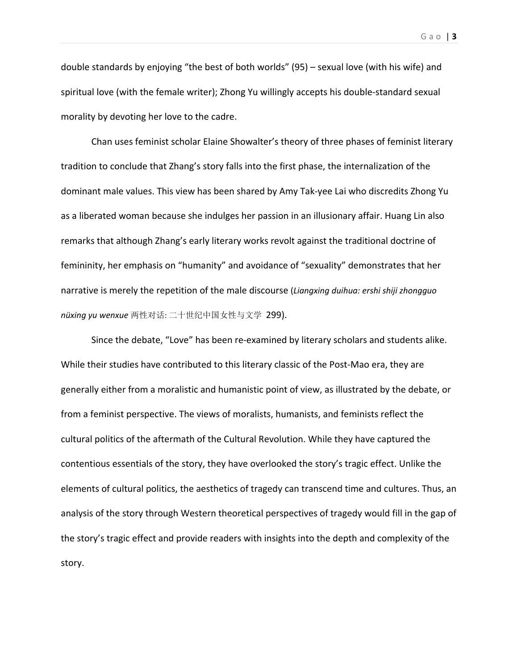Gao | **3**

double standards by enjoying "the best of both worlds" (95) – sexual love (with his wife) and spiritual love (with the female writer); Zhong Yu willingly accepts his double‐standard sexual morality by devoting her love to the cadre.

Chan uses feminist scholar Elaine Showalter's theory of three phases of feminist literary tradition to conclude that Zhang's story falls into the first phase, the internalization of the dominant male values. This view has been shared by Amy Tak‐yee Lai who discredits Zhong Yu as a liberated woman because she indulges her passion in an illusionary affair. Huang Lin also remarks that although Zhang's early literary works revolt against the traditional doctrine of femininity, her emphasis on "humanity" and avoidance of "sexuality" demonstrates that her narrative is merely the repetition of the male discourse (*Liangxing duihua: ershi shiji zhongguo nüxing yu wenxue* 两性对话: 二十世纪中国女性与文学299).

Since the debate, "Love" has been re‐examined by literary scholars and students alike. While their studies have contributed to this literary classic of the Post-Mao era, they are generally either from a moralistic and humanistic point of view, as illustrated by the debate, or from a feminist perspective. The views of moralists, humanists, and feminists reflect the cultural politics of the aftermath of the Cultural Revolution. While they have captured the contentious essentials of the story, they have overlooked the story's tragic effect. Unlike the elements of cultural politics, the aesthetics of tragedy can transcend time and cultures. Thus, an analysis of the story through Western theoretical perspectives of tragedy would fill in the gap of the story's tragic effect and provide readers with insights into the depth and complexity of the story.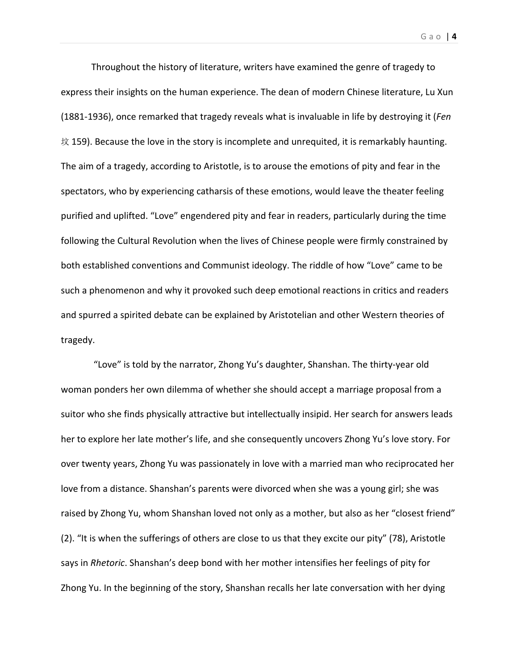Throughout the history of literature, writers have examined the genre of tragedy to express their insights on the human experience. The dean of modern Chinese literature, Lu Xun (1881‐1936), once remarked that tragedy reveals what is invaluable in life by destroying it (*Fen*  $\dot{\varphi}$  159). Because the love in the story is incomplete and unrequited, it is remarkably haunting. The aim of a tragedy, according to Aristotle, is to arouse the emotions of pity and fear in the spectators, who by experiencing catharsis of these emotions, would leave the theater feeling purified and uplifted. "Love" engendered pity and fear in readers, particularly during the time following the Cultural Revolution when the lives of Chinese people were firmly constrained by both established conventions and Communist ideology. The riddle of how "Love" came to be such a phenomenon and why it provoked such deep emotional reactions in critics and readers and spurred a spirited debate can be explained by Aristotelian and other Western theories of tragedy.

"Love" is told by the narrator, Zhong Yu's daughter, Shanshan. The thirty‐year old woman ponders her own dilemma of whether she should accept a marriage proposal from a suitor who she finds physically attractive but intellectually insipid. Her search for answers leads her to explore her late mother's life, and she consequently uncovers Zhong Yu's love story. For over twenty years, Zhong Yu was passionately in love with a married man who reciprocated her love from a distance. Shanshan's parents were divorced when she was a young girl; she was raised by Zhong Yu, whom Shanshan loved not only as a mother, but also as her "closest friend" (2). "It is when the sufferings of others are close to us that they excite our pity" (78), Aristotle says in *Rhetoric*. Shanshan's deep bond with her mother intensifies her feelings of pity for Zhong Yu. In the beginning of the story, Shanshan recalls her late conversation with her dying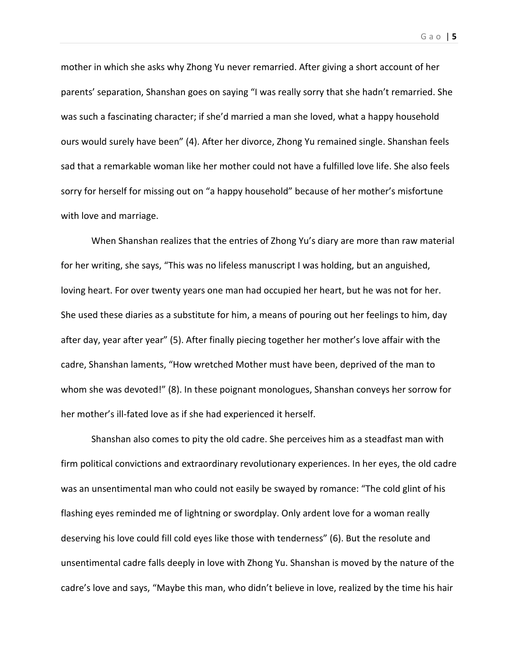mother in which she asks why Zhong Yu never remarried. After giving a short account of her parents' separation, Shanshan goes on saying "I was really sorry that she hadn't remarried. She was such a fascinating character; if she'd married a man she loved, what a happy household ours would surely have been" (4). After her divorce, Zhong Yu remained single. Shanshan feels sad that a remarkable woman like her mother could not have a fulfilled love life. She also feels sorry for herself for missing out on "a happy household" because of her mother's misfortune with love and marriage.

When Shanshan realizes that the entries of Zhong Yu's diary are more than raw material for her writing, she says, "This was no lifeless manuscript I was holding, but an anguished, loving heart. For over twenty years one man had occupied her heart, but he was not for her. She used these diaries as a substitute for him, a means of pouring out her feelings to him, day after day, year after year" (5). After finally piecing together her mother's love affair with the cadre, Shanshan laments, "How wretched Mother must have been, deprived of the man to whom she was devoted!" (8). In these poignant monologues, Shanshan conveys her sorrow for her mother's ill-fated love as if she had experienced it herself.

Shanshan also comes to pity the old cadre. She perceives him as a steadfast man with firm political convictions and extraordinary revolutionary experiences. In her eyes, the old cadre was an unsentimental man who could not easily be swayed by romance: "The cold glint of his flashing eyes reminded me of lightning or swordplay. Only ardent love for a woman really deserving his love could fill cold eyes like those with tenderness" (6). But the resolute and unsentimental cadre falls deeply in love with Zhong Yu. Shanshan is moved by the nature of the cadre's love and says, "Maybe this man, who didn't believe in love, realized by the time his hair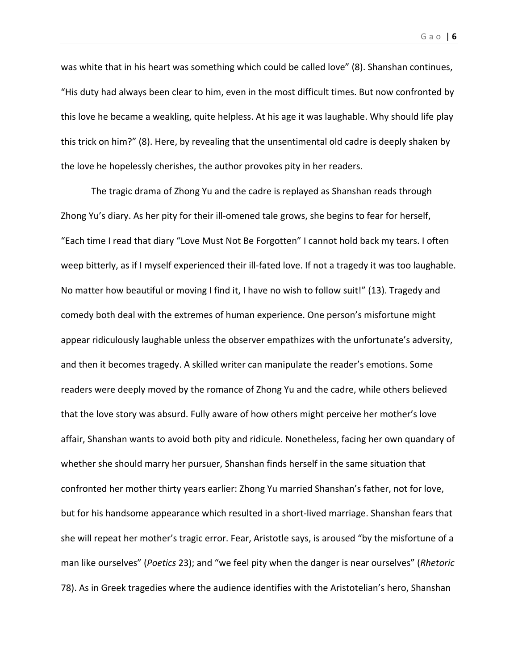was white that in his heart was something which could be called love" (8). Shanshan continues, "His duty had always been clear to him, even in the most difficult times. But now confronted by this love he became a weakling, quite helpless. At his age it was laughable. Why should life play this trick on him?" (8). Here, by revealing that the unsentimental old cadre is deeply shaken by the love he hopelessly cherishes, the author provokes pity in her readers.

The tragic drama of Zhong Yu and the cadre is replayed as Shanshan reads through Zhong Yu's diary. As her pity for their ill‐omened tale grows, she begins to fear for herself, "Each time I read that diary "Love Must Not Be Forgotten" I cannot hold back my tears. I often weep bitterly, as if I myself experienced their ill-fated love. If not a tragedy it was too laughable. No matter how beautiful or moving I find it, I have no wish to follow suit!" (13). Tragedy and comedy both deal with the extremes of human experience. One person's misfortune might appear ridiculously laughable unless the observer empathizes with the unfortunate's adversity, and then it becomes tragedy. A skilled writer can manipulate the reader's emotions. Some readers were deeply moved by the romance of Zhong Yu and the cadre, while others believed that the love story was absurd. Fully aware of how others might perceive her mother's love affair, Shanshan wants to avoid both pity and ridicule. Nonetheless, facing her own quandary of whether she should marry her pursuer, Shanshan finds herself in the same situation that confronted her mother thirty years earlier: Zhong Yu married Shanshan's father, not for love, but for his handsome appearance which resulted in a short‐lived marriage. Shanshan fears that she will repeat her mother's tragic error. Fear, Aristotle says, is aroused "by the misfortune of a man like ourselves" (*Poetics* 23); and "we feel pity when the danger is near ourselves" (*Rhetoric* 78). As in Greek tragedies where the audience identifies with the Aristotelian's hero, Shanshan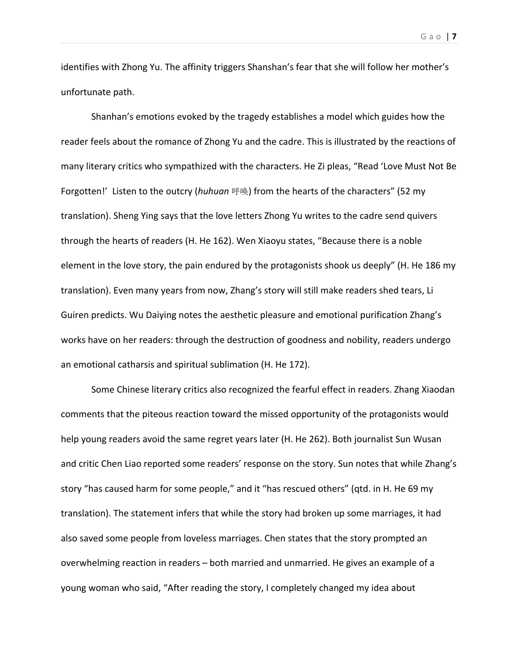identifies with Zhong Yu. The affinity triggers Shanshan's fear that she will follow her mother's unfortunate path.

Shanhan's emotions evoked by the tragedy establishes a model which guides how the reader feels about the romance of Zhong Yu and the cadre. This is illustrated by the reactions of many literary critics who sympathized with the characters. He Zi pleas, "Read 'Love Must Not Be Forgotten!' Listen to the outcry (*huhuan* 呼唤) from the hearts of the characters" (52 my translation). Sheng Ying says that the love letters Zhong Yu writes to the cadre send quivers through the hearts of readers (H. He 162). Wen Xiaoyu states, "Because there is a noble element in the love story, the pain endured by the protagonists shook us deeply" (H. He 186 my translation). Even many years from now, Zhang's story will still make readers shed tears, Li Guiren predicts. Wu Daiying notes the aesthetic pleasure and emotional purification Zhang's works have on her readers: through the destruction of goodness and nobility, readers undergo an emotional catharsis and spiritual sublimation (H. He 172).

Some Chinese literary critics also recognized the fearful effect in readers. Zhang Xiaodan comments that the piteous reaction toward the missed opportunity of the protagonists would help young readers avoid the same regret years later (H. He 262). Both journalist Sun Wusan and critic Chen Liao reported some readers' response on the story. Sun notes that while Zhang's story "has caused harm for some people," and it "has rescued others" (qtd. in H. He 69 my translation). The statement infers that while the story had broken up some marriages, it had also saved some people from loveless marriages. Chen states that the story prompted an overwhelming reaction in readers – both married and unmarried. He gives an example of a young woman who said, "After reading the story, I completely changed my idea about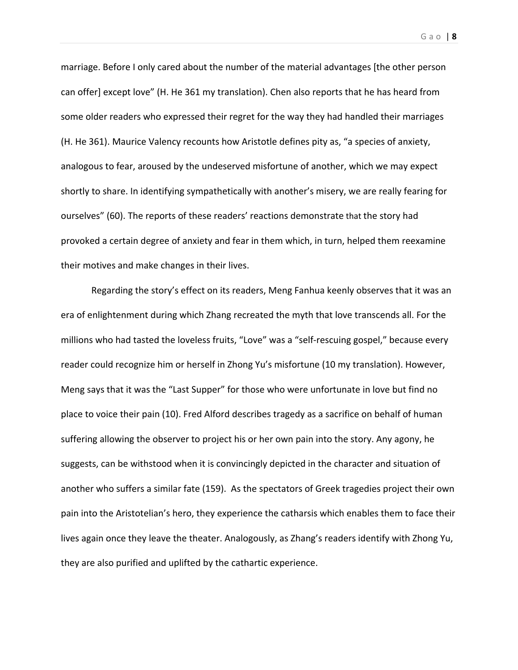marriage. Before I only cared about the number of the material advantages [the other person can offer] except love" (H. He 361 my translation). Chen also reports that he has heard from some older readers who expressed their regret for the way they had handled their marriages (H. He 361). Maurice Valency recounts how Aristotle defines pity as, "a species of anxiety, analogous to fear, aroused by the undeserved misfortune of another, which we may expect shortly to share. In identifying sympathetically with another's misery, we are really fearing for ourselves" (60). The reports of these readers' reactions demonstrate that the story had provoked a certain degree of anxiety and fear in them which, in turn, helped them reexamine their motives and make changes in their lives.

Regarding the story's effect on its readers, Meng Fanhua keenly observes that it was an era of enlightenment during which Zhang recreated the myth that love transcends all. For the millions who had tasted the loveless fruits, "Love" was a "self-rescuing gospel," because every reader could recognize him or herself in Zhong Yu's misfortune (10 my translation). However, Meng says that it was the "Last Supper" for those who were unfortunate in love but find no place to voice their pain (10). Fred Alford describes tragedy as a sacrifice on behalf of human suffering allowing the observer to project his or her own pain into the story. Any agony, he suggests, can be withstood when it is convincingly depicted in the character and situation of another who suffers a similar fate (159). As the spectators of Greek tragedies project their own pain into the Aristotelian's hero, they experience the catharsis which enables them to face their lives again once they leave the theater. Analogously, as Zhang's readers identify with Zhong Yu, they are also purified and uplifted by the cathartic experience.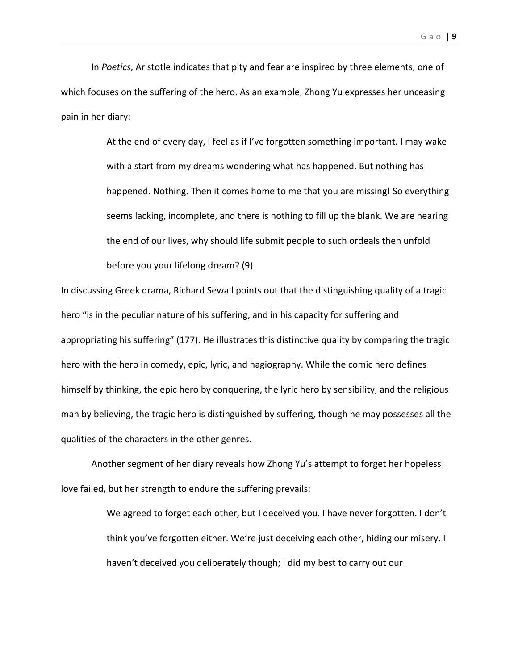In *Poetics*, Aristotle indicates that pity and fear are inspired by three elements, one of which focuses on the suffering of the hero. As an example, Zhong Yu expresses her unceasing pain in her diary:

> At the end of every day, I feel as if I've forgotten something important. I may wake with a start from my dreams wondering what has happened. But nothing has happened. Nothing. Then it comes home to me that you are missing! So everything seems lacking, incomplete, and there is nothing to fill up the blank. We are nearing the end of our lives, why should life submit people to such ordeals then unfold before you your lifelong dream? (9)

In discussing Greek drama, Richard Sewall points out that the distinguishing quality of a tragic hero "is in the peculiar nature of his suffering, and in his capacity for suffering and appropriating his suffering" (177). He illustrates this distinctive quality by comparing the tragic hero with the hero in comedy, epic, lyric, and hagiography. While the comic hero defines himself by thinking, the epic hero by conquering, the lyric hero by sensibility, and the religious man by believing, the tragic hero is distinguished by suffering, though he may possesses all the qualities of the characters in the other genres.

Another segment of her diary reveals how Zhong Yu's attempt to forget her hopeless love failed, but her strength to endure the suffering prevails:

> We agreed to forget each other, but I deceived you. I have never forgotten. I don't think you've forgotten either. We're just deceiving each other, hiding our misery. I haven't deceived you deliberately though; I did my best to carry out our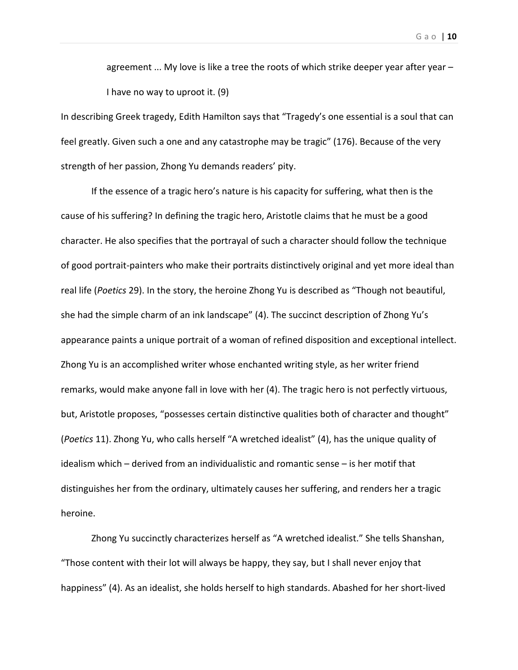agreement  $\ldots$  My love is like a tree the roots of which strike deeper year after year  $-$ I have no way to uproot it. (9)

In describing Greek tragedy, Edith Hamilton says that "Tragedy's one essential is a soul that can feel greatly. Given such a one and any catastrophe may be tragic" (176). Because of the very strength of her passion, Zhong Yu demands readers' pity.

If the essence of a tragic hero's nature is his capacity for suffering, what then is the cause of his suffering? In defining the tragic hero, Aristotle claims that he must be a good character. He also specifies that the portrayal of such a character should follow the technique of good portrait‐painters who make their portraits distinctively original and yet more ideal than real life (*Poetics* 29). In the story, the heroine Zhong Yu is described as "Though not beautiful, she had the simple charm of an ink landscape" (4). The succinct description of Zhong Yu's appearance paints a unique portrait of a woman of refined disposition and exceptional intellect. Zhong Yu is an accomplished writer whose enchanted writing style, as her writer friend remarks, would make anyone fall in love with her (4). The tragic hero is not perfectly virtuous, but, Aristotle proposes, "possesses certain distinctive qualities both of character and thought" (*Poetics* 11). Zhong Yu, who calls herself "A wretched idealist" (4), has the unique quality of idealism which – derived from an individualistic and romantic sense – is her motif that distinguishes her from the ordinary, ultimately causes her suffering, and renders her a tragic heroine.

Zhong Yu succinctly characterizes herself as "A wretched idealist." She tells Shanshan, "Those content with their lot will always be happy, they say, but I shall never enjoy that happiness" (4). As an idealist, she holds herself to high standards. Abashed for her short-lived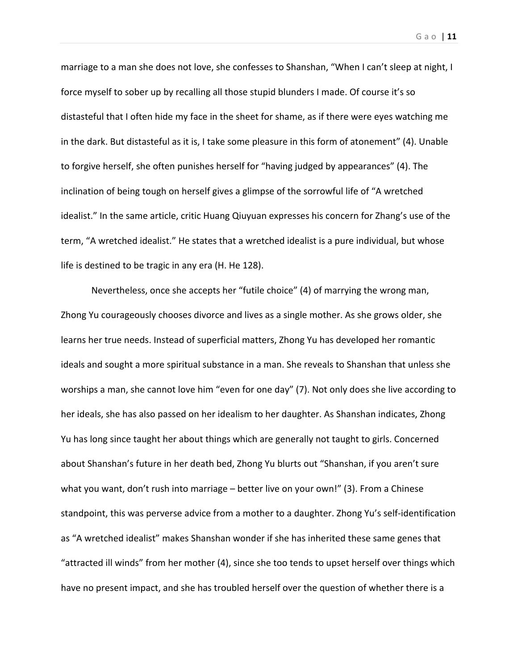marriage to a man she does not love, she confesses to Shanshan, "When I can't sleep at night, I force myself to sober up by recalling all those stupid blunders I made. Of course it's so distasteful that I often hide my face in the sheet for shame, as if there were eyes watching me in the dark. But distasteful as it is, I take some pleasure in this form of atonement" (4). Unable to forgive herself, she often punishes herself for "having judged by appearances" (4). The inclination of being tough on herself gives a glimpse of the sorrowful life of "A wretched idealist." In the same article, critic Huang Qiuyuan expresses his concern for Zhang's use of the term, "A wretched idealist." He states that a wretched idealist is a pure individual, but whose life is destined to be tragic in any era (H. He 128).

Nevertheless, once she accepts her "futile choice" (4) of marrying the wrong man, Zhong Yu courageously chooses divorce and lives as a single mother. As she grows older, she learns her true needs. Instead of superficial matters, Zhong Yu has developed her romantic ideals and sought a more spiritual substance in a man. She reveals to Shanshan that unless she worships a man, she cannot love him "even for one day" (7). Not only does she live according to her ideals, she has also passed on her idealism to her daughter. As Shanshan indicates, Zhong Yu has long since taught her about things which are generally not taught to girls. Concerned about Shanshan's future in her death bed, Zhong Yu blurts out "Shanshan, if you aren't sure what you want, don't rush into marriage – better live on your own!" (3). From a Chinese standpoint, this was perverse advice from a mother to a daughter. Zhong Yu's self‐identification as "A wretched idealist" makes Shanshan wonder if she has inherited these same genes that "attracted ill winds" from her mother (4), since she too tends to upset herself over things which have no present impact, and she has troubled herself over the question of whether there is a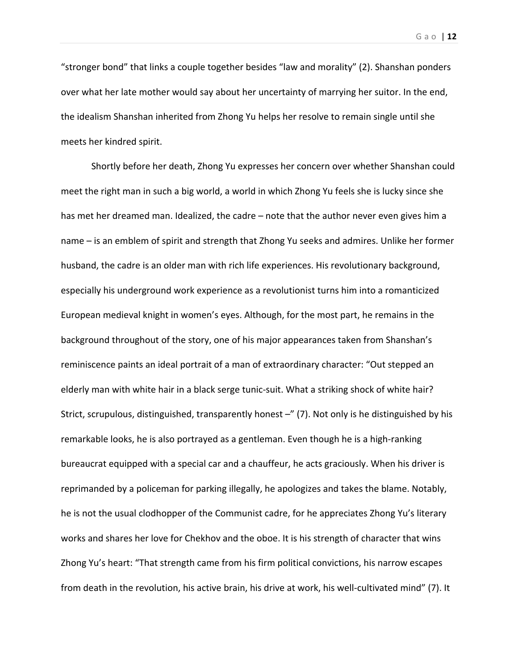"stronger bond" that links a couple together besides "law and morality" (2). Shanshan ponders over what her late mother would say about her uncertainty of marrying her suitor. In the end, the idealism Shanshan inherited from Zhong Yu helps her resolve to remain single until she meets her kindred spirit.

Shortly before her death, Zhong Yu expresses her concern over whether Shanshan could meet the right man in such a big world, a world in which Zhong Yu feels she is lucky since she has met her dreamed man. Idealized, the cadre – note that the author never even gives him a name – is an emblem of spirit and strength that Zhong Yu seeks and admires. Unlike her former husband, the cadre is an older man with rich life experiences. His revolutionary background, especially his underground work experience as a revolutionist turns him into a romanticized European medieval knight in women's eyes. Although, for the most part, he remains in the background throughout of the story, one of his major appearances taken from Shanshan's reminiscence paints an ideal portrait of a man of extraordinary character: "Out stepped an elderly man with white hair in a black serge tunic-suit. What a striking shock of white hair? Strict, scrupulous, distinguished, transparently honest -" (7). Not only is he distinguished by his remarkable looks, he is also portrayed as a gentleman. Even though he is a high-ranking bureaucrat equipped with a special car and a chauffeur, he acts graciously. When his driver is reprimanded by a policeman for parking illegally, he apologizes and takes the blame. Notably, he is not the usual clodhopper of the Communist cadre, for he appreciates Zhong Yu's literary works and shares her love for Chekhov and the oboe. It is his strength of character that wins Zhong Yu's heart: "That strength came from his firm political convictions, his narrow escapes from death in the revolution, his active brain, his drive at work, his well-cultivated mind" (7). It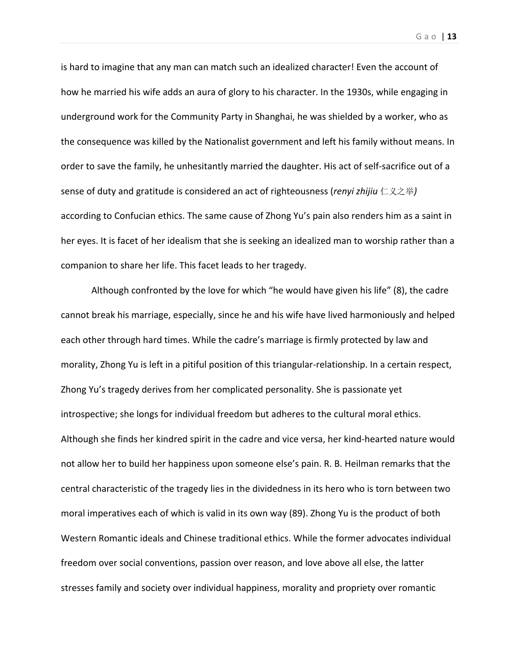is hard to imagine that any man can match such an idealized character! Even the account of how he married his wife adds an aura of glory to his character. In the 1930s, while engaging in underground work for the Community Party in Shanghai, he was shielded by a worker, who as the consequence was killed by the Nationalist government and left his family without means. In

order to save the family, he unhesitantly married the daughter. His act of self‐sacrifice out of a sense of duty and gratitude is considered an act of righteousness (*renyi zhijiu* 仁义之举*)* according to Confucian ethics. The same cause of Zhong Yu's pain also renders him as a saint in her eyes. It is facet of her idealism that she is seeking an idealized man to worship rather than a companion to share her life. This facet leads to her tragedy.

Although confronted by the love for which "he would have given his life" (8), the cadre cannot break his marriage, especially, since he and his wife have lived harmoniously and helped each other through hard times. While the cadre's marriage is firmly protected by law and morality, Zhong Yu is left in a pitiful position of this triangular-relationship. In a certain respect, Zhong Yu's tragedy derives from her complicated personality. She is passionate yet introspective; she longs for individual freedom but adheres to the cultural moral ethics. Although she finds her kindred spirit in the cadre and vice versa, her kind‐hearted nature would not allow her to build her happiness upon someone else's pain. R. B. Heilman remarks that the central characteristic of the tragedy lies in the dividedness in its hero who is torn between two moral imperatives each of which is valid in its own way (89). Zhong Yu is the product of both Western Romantic ideals and Chinese traditional ethics. While the former advocates individual freedom over social conventions, passion over reason, and love above all else, the latter stresses family and society over individual happiness, morality and propriety over romantic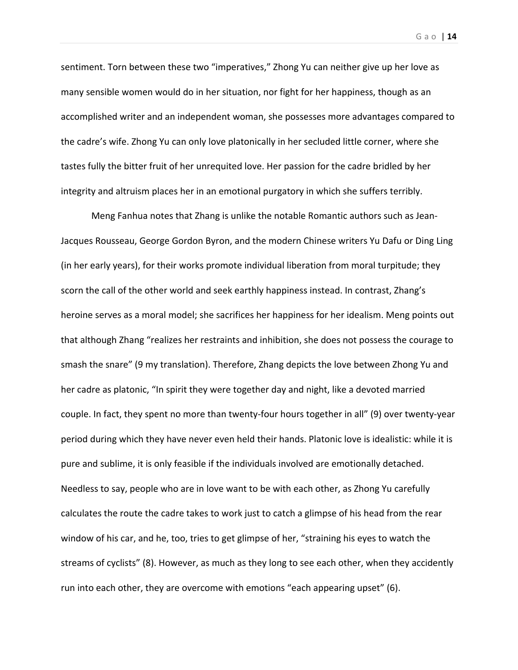Gao | **14**

sentiment. Torn between these two "imperatives," Zhong Yu can neither give up her love as many sensible women would do in her situation, nor fight for her happiness, though as an accomplished writer and an independent woman, she possesses more advantages compared to the cadre's wife. Zhong Yu can only love platonically in her secluded little corner, where she tastes fully the bitter fruit of her unrequited love. Her passion for the cadre bridled by her integrity and altruism places her in an emotional purgatory in which she suffers terribly.

Meng Fanhua notes that Zhang is unlike the notable Romantic authors such as Jean‐ Jacques Rousseau, George Gordon Byron, and the modern Chinese writers Yu Dafu or Ding Ling (in her early years), for their works promote individual liberation from moral turpitude; they scorn the call of the other world and seek earthly happiness instead. In contrast, Zhang's heroine serves as a moral model; she sacrifices her happiness for her idealism. Meng points out that although Zhang "realizes her restraints and inhibition, she does not possess the courage to smash the snare" (9 my translation). Therefore, Zhang depicts the love between Zhong Yu and her cadre as platonic, "In spirit they were together day and night, like a devoted married couple. In fact, they spent no more than twenty‐four hours together in all" (9) over twenty‐year period during which they have never even held their hands. Platonic love is idealistic: while it is pure and sublime, it is only feasible if the individuals involved are emotionally detached. Needless to say, people who are in love want to be with each other, as Zhong Yu carefully calculates the route the cadre takes to work just to catch a glimpse of his head from the rear window of his car, and he, too, tries to get glimpse of her, "straining his eyes to watch the streams of cyclists" (8). However, as much as they long to see each other, when they accidently run into each other, they are overcome with emotions "each appearing upset" (6).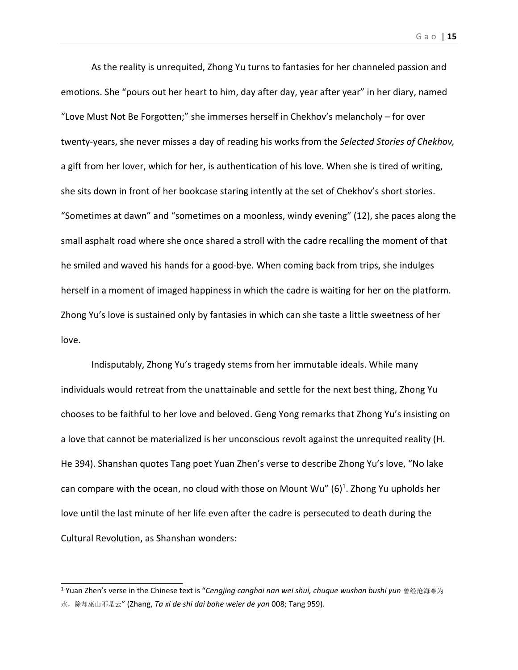As the reality is unrequited, Zhong Yu turns to fantasies for her channeled passion and emotions. She "pours out her heart to him, day after day, year after year" in her diary, named "Love Must Not Be Forgotten;" she immerses herself in Chekhov's melancholy – for over twenty‐years, she never misses a day of reading his works from the *Selected Stories of Chekhov,* a gift from her lover, which for her, is authentication of his love. When she is tired of writing, she sits down in front of her bookcase staring intently at the set of Chekhov's short stories. "Sometimes at dawn" and "sometimes on a moonless, windy evening" (12), she paces along the small asphalt road where she once shared a stroll with the cadre recalling the moment of that he smiled and waved his hands for a good-bye. When coming back from trips, she indulges herself in a moment of imaged happiness in which the cadre is waiting for her on the platform. Zhong Yu's love is sustained only by fantasies in which can she taste a little sweetness of her love.

Indisputably, Zhong Yu's tragedy stems from her immutable ideals. While many individuals would retreat from the unattainable and settle for the next best thing, Zhong Yu chooses to be faithful to her love and beloved. Geng Yong remarks that Zhong Yu's insisting on a love that cannot be materialized is her unconscious revolt against the unrequited reality (H. He 394). Shanshan quotes Tang poet Yuan Zhen's verse to describe Zhong Yu's love, "No lake can compare with the ocean, no cloud with those on Mount Wu"  $(6)^1$ . Zhong Yu upholds her love until the last minute of her life even after the cadre is persecuted to death during the Cultural Revolution, as Shanshan wonders:

<sup>1</sup> Yuan Zhen's verse in the Chinese text is "*Cengjing canghai nan wei shui, chuque wushan bushi yun* 曾经沧海难为 水,除却巫山不是云" (Zhang, *Ta xi de shi dai bohe weier de yan* 008; Tang 959).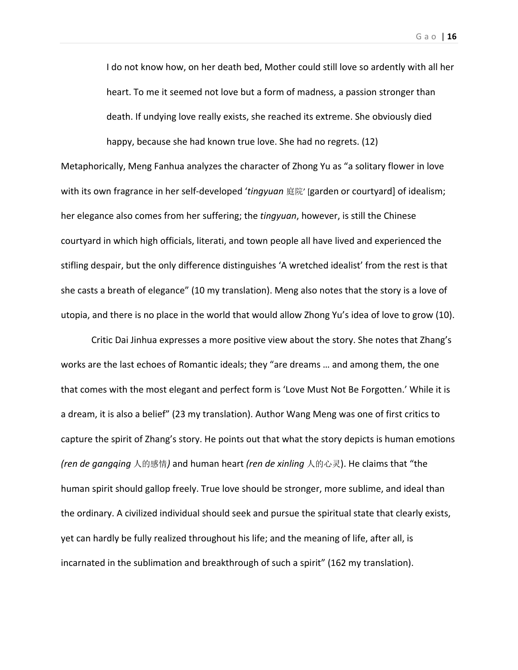Gao | **16**

I do not know how, on her death bed, Mother could still love so ardently with all her heart. To me it seemed not love but a form of madness, a passion stronger than death. If undying love really exists, she reached its extreme. She obviously died happy, because she had known true love. She had no regrets. (12)

Metaphorically, Meng Fanhua analyzes the character of Zhong Yu as "a solitary flower in love with its own fragrance in her self‐developed '*tingyuan* 庭院' [garden or courtyard] of idealism; her elegance also comes from her suffering; the *tingyuan*, however, is still the Chinese courtyard in which high officials, literati, and town people all have lived and experienced the stifling despair, but the only difference distinguishes 'A wretched idealist' from the rest is that she casts a breath of elegance" (10 my translation). Meng also notes that the story is a love of utopia, and there is no place in the world that would allow Zhong Yu's idea of love to grow (10).

Critic Dai Jinhua expresses a more positive view about the story. She notes that Zhang's works are the last echoes of Romantic ideals; they "are dreams … and among them, the one that comes with the most elegant and perfect form is 'Love Must Not Be Forgotten.' While it is a dream, it is also a belief" (23 my translation). Author Wang Meng was one of first critics to capture the spirit of Zhang's story. He points out that what the story depicts is human emotions *(ren de gangqing* 人的感情*)* and human heart *(ren de xinling* 人的心灵). He claims that "the human spirit should gallop freely. True love should be stronger, more sublime, and ideal than the ordinary. A civilized individual should seek and pursue the spiritual state that clearly exists, yet can hardly be fully realized throughout his life; and the meaning of life, after all, is incarnated in the sublimation and breakthrough of such a spirit" (162 my translation).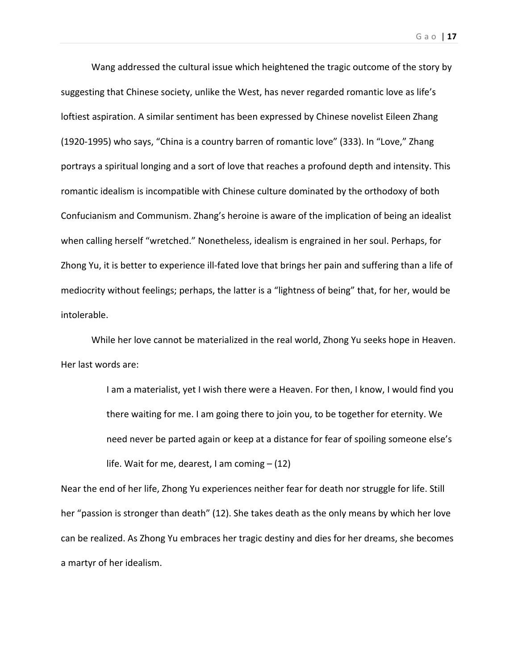Wang addressed the cultural issue which heightened the tragic outcome of the story by suggesting that Chinese society, unlike the West, has never regarded romantic love as life's loftiest aspiration. A similar sentiment has been expressed by Chinese novelist Eileen Zhang (1920‐1995) who says, "China is a country barren of romantic love" (333). In "Love," Zhang portrays a spiritual longing and a sort of love that reaches a profound depth and intensity. This romantic idealism is incompatible with Chinese culture dominated by the orthodoxy of both Confucianism and Communism. Zhang's heroine is aware of the implication of being an idealist when calling herself "wretched." Nonetheless, idealism is engrained in her soul. Perhaps, for Zhong Yu, it is better to experience ill‐fated love that brings her pain and suffering than a life of mediocrity without feelings; perhaps, the latter is a "lightness of being" that, for her, would be intolerable.

While her love cannot be materialized in the real world, Zhong Yu seeks hope in Heaven. Her last words are:

> I am a materialist, yet I wish there were a Heaven. For then, I know, I would find you there waiting for me. I am going there to join you, to be together for eternity. We need never be parted again or keep at a distance for fear of spoiling someone else's life. Wait for me, dearest, I am coming – (12)

Near the end of her life, Zhong Yu experiences neither fear for death nor struggle for life. Still her "passion is stronger than death" (12). She takes death as the only means by which her love can be realized. As Zhong Yu embraces her tragic destiny and dies for her dreams, she becomes a martyr of her idealism.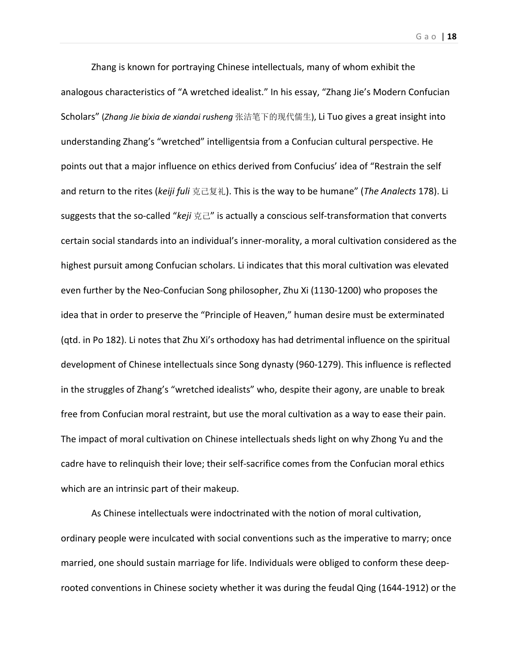Gao | **18**

Zhang is known for portraying Chinese intellectuals, many of whom exhibit the analogous characteristics of "A wretched idealist." In his essay, "Zhang Jie's Modern Confucian Scholars" (*Zhang Jie bixia de xiandai rusheng* 张洁笔下的现代儒生), Li Tuo gives a great insight into understanding Zhang's "wretched" intelligentsia from a Confucian cultural perspective. He points out that a major influence on ethics derived from Confucius' idea of "Restrain the self and return to the rites (*keiji fuli* 克己复礼). This is the way to be humane" (*The Analects* 178). Li suggests that the so‐called "*keji* 克己" is actually a conscious self‐transformation that converts certain social standards into an individual's inner‐morality, a moral cultivation considered as the highest pursuit among Confucian scholars. Li indicates that this moral cultivation was elevated even further by the Neo‐Confucian Song philosopher, Zhu Xi (1130‐1200) who proposes the idea that in order to preserve the "Principle of Heaven," human desire must be exterminated (qtd. in Po 182). Li notes that Zhu Xi's orthodoxy has had detrimental influence on the spiritual development of Chinese intellectuals since Song dynasty (960‐1279). This influence is reflected in the struggles of Zhang's "wretched idealists" who, despite their agony, are unable to break free from Confucian moral restraint, but use the moral cultivation as a way to ease their pain. The impact of moral cultivation on Chinese intellectuals sheds light on why Zhong Yu and the cadre have to relinquish their love; their self‐sacrifice comes from the Confucian moral ethics which are an intrinsic part of their makeup.

As Chinese intellectuals were indoctrinated with the notion of moral cultivation, ordinary people were inculcated with social conventions such as the imperative to marry; once married, one should sustain marriage for life. Individuals were obliged to conform these deep‐ rooted conventions in Chinese society whether it was during the feudal Qing (1644‐1912) or the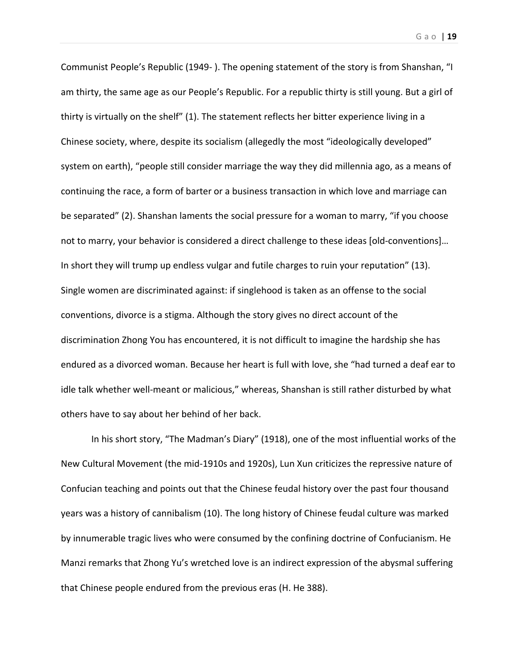Communist People's Republic (1949‐ ). The opening statement of the story is from Shanshan, "I am thirty, the same age as our People's Republic. For a republic thirty is still young. But a girl of thirty is virtually on the shelf" (1). The statement reflects her bitter experience living in a Chinese society, where, despite its socialism (allegedly the most "ideologically developed" system on earth), "people still consider marriage the way they did millennia ago, as a means of continuing the race, a form of barter or a business transaction in which love and marriage can be separated" (2). Shanshan laments the social pressure for a woman to marry, "if you choose not to marry, your behavior is considered a direct challenge to these ideas [old‐conventions]… In short they will trump up endless vulgar and futile charges to ruin your reputation" (13). Single women are discriminated against: if singlehood is taken as an offense to the social conventions, divorce is a stigma. Although the story gives no direct account of the discrimination Zhong You has encountered, it is not difficult to imagine the hardship she has endured as a divorced woman. Because her heart is full with love, she "had turned a deaf ear to idle talk whether well‐meant or malicious," whereas, Shanshan is still rather disturbed by what others have to say about her behind of her back.

In his short story, "The Madman's Diary" (1918), one of the most influential works of the New Cultural Movement (the mid‐1910s and 1920s), Lun Xun criticizes the repressive nature of Confucian teaching and points out that the Chinese feudal history over the past four thousand years was a history of cannibalism (10). The long history of Chinese feudal culture was marked by innumerable tragic lives who were consumed by the confining doctrine of Confucianism. He Manzi remarks that Zhong Yu's wretched love is an indirect expression of the abysmal suffering that Chinese people endured from the previous eras (H. He 388).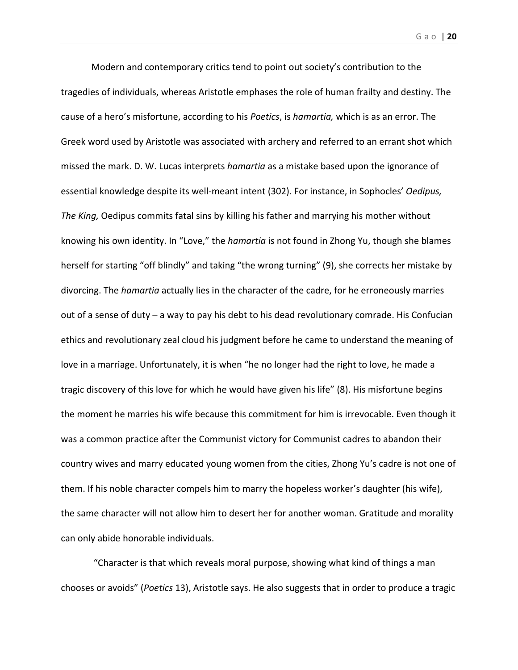Modern and contemporary critics tend to point out society's contribution to the tragedies of individuals, whereas Aristotle emphases the role of human frailty and destiny. The cause of a hero's misfortune, according to his *Poetics*, is *hamartia,* which is as an error. The Greek word used by Aristotle was associated with archery and referred to an errant shot which missed the mark. D. W. Lucas interprets *hamartia* as a mistake based upon the ignorance of essential knowledge despite its well‐meant intent (302). For instance, in Sophocles' *Oedipus, The King,* Oedipus commits fatal sins by killing his father and marrying his mother without knowing his own identity. In "Love," the *hamartia* is not found in Zhong Yu, though she blames herself for starting "off blindly" and taking "the wrong turning" (9), she corrects her mistake by divorcing. The *hamartia* actually lies in the character of the cadre, for he erroneously marries out of a sense of duty – a way to pay his debt to his dead revolutionary comrade. His Confucian ethics and revolutionary zeal cloud his judgment before he came to understand the meaning of love in a marriage. Unfortunately, it is when "he no longer had the right to love, he made a tragic discovery of this love for which he would have given his life" (8). His misfortune begins the moment he marries his wife because this commitment for him is irrevocable. Even though it was a common practice after the Communist victory for Communist cadres to abandon their country wives and marry educated young women from the cities, Zhong Yu's cadre is not one of them. If his noble character compels him to marry the hopeless worker's daughter (his wife), the same character will not allow him to desert her for another woman. Gratitude and morality can only abide honorable individuals.

 "Character is that which reveals moral purpose, showing what kind of things a man chooses or avoids" (*Poetics* 13), Aristotle says. He also suggests that in order to produce a tragic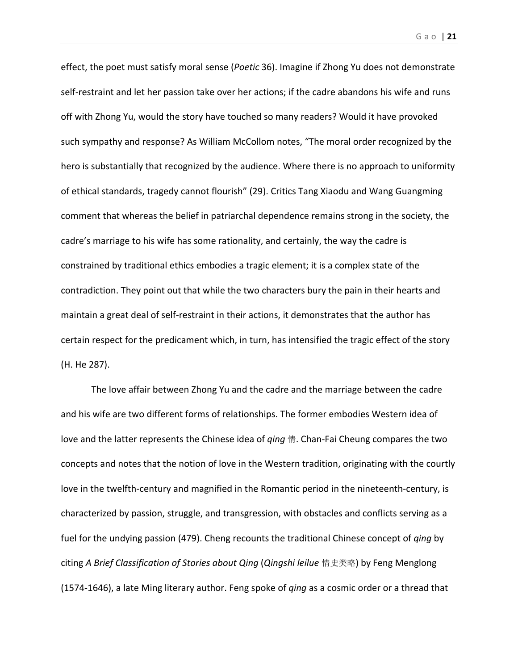Gao | **21**

effect, the poet must satisfy moral sense (*Poetic* 36). Imagine if Zhong Yu does not demonstrate self-restraint and let her passion take over her actions; if the cadre abandons his wife and runs off with Zhong Yu, would the story have touched so many readers? Would it have provoked such sympathy and response? As William McCollom notes, "The moral order recognized by the hero is substantially that recognized by the audience. Where there is no approach to uniformity of ethical standards, tragedy cannot flourish" (29). Critics Tang Xiaodu and Wang Guangming comment that whereas the belief in patriarchal dependence remains strong in the society, the cadre's marriage to his wife has some rationality, and certainly, the way the cadre is constrained by traditional ethics embodies a tragic element; it is a complex state of the contradiction. They point out that while the two characters bury the pain in their hearts and maintain a great deal of self‐restraint in their actions, it demonstrates that the author has certain respect for the predicament which, in turn, has intensified the tragic effect of the story (H. He 287).

The love affair between Zhong Yu and the cadre and the marriage between the cadre and his wife are two different forms of relationships. The former embodies Western idea of love and the latter represents the Chinese idea of *qing* 情. Chan‐Fai Cheung compares the two concepts and notes that the notion of love in the Western tradition, originating with the courtly love in the twelfth‐century and magnified in the Romantic period in the nineteenth‐century, is characterized by passion, struggle, and transgression, with obstacles and conflicts serving as a fuel for the undying passion (479). Cheng recounts the traditional Chinese concept of *qing* by citing *A Brief Classification of Stories about Qing* (*Qingshi leilue* 情史类略) by Feng Menglong (1574‐1646), a late Ming literary author. Feng spoke of *qing* as a cosmic order or a thread that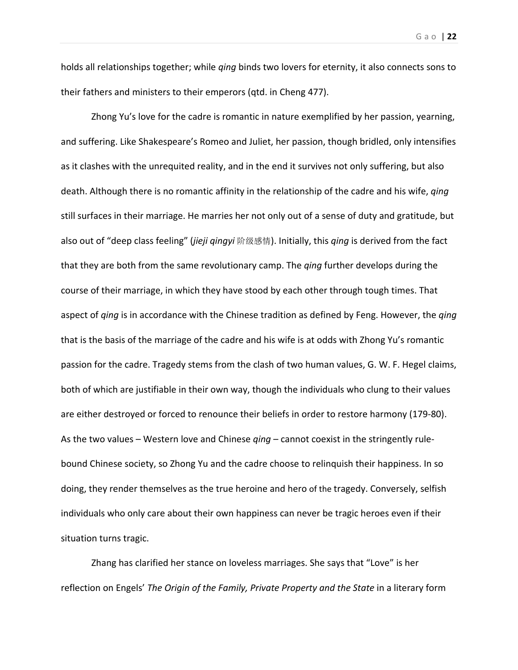holds all relationships together; while *qing* binds two lovers for eternity, it also connects sons to their fathers and ministers to their emperors (qtd. in Cheng 477).

Zhong Yu's love for the cadre is romantic in nature exemplified by her passion, yearning, and suffering. Like Shakespeare's Romeo and Juliet, her passion, though bridled, only intensifies as it clashes with the unrequited reality, and in the end it survives not only suffering, but also death. Although there is no romantic affinity in the relationship of the cadre and his wife, *qing* still surfaces in their marriage. He marries her not only out of a sense of duty and gratitude, but also out of "deep class feeling" (*jieji qingyi* 阶级感情). Initially, this *qing* is derived from the fact that they are both from the same revolutionary camp. The *qing* further develops during the course of their marriage, in which they have stood by each other through tough times. That aspect of *qing* is in accordance with the Chinese tradition as defined by Feng. However, the *qing* that is the basis of the marriage of the cadre and his wife is at odds with Zhong Yu's romantic passion for the cadre. Tragedy stems from the clash of two human values, G. W. F. Hegel claims, both of which are justifiable in their own way, though the individuals who clung to their values are either destroyed or forced to renounce their beliefs in order to restore harmony (179‐80). As the two values – Western love and Chinese *qing* – cannot coexist in the stringently rule‐ bound Chinese society, so Zhong Yu and the cadre choose to relinquish their happiness. In so doing, they render themselves as the true heroine and hero of the tragedy. Conversely, selfish individuals who only care about their own happiness can never be tragic heroes even if their situation turns tragic.

Zhang has clarified her stance on loveless marriages. She says that "Love" is her reflection on Engels' *The Origin of the Family, Private Property and the State* in a literary form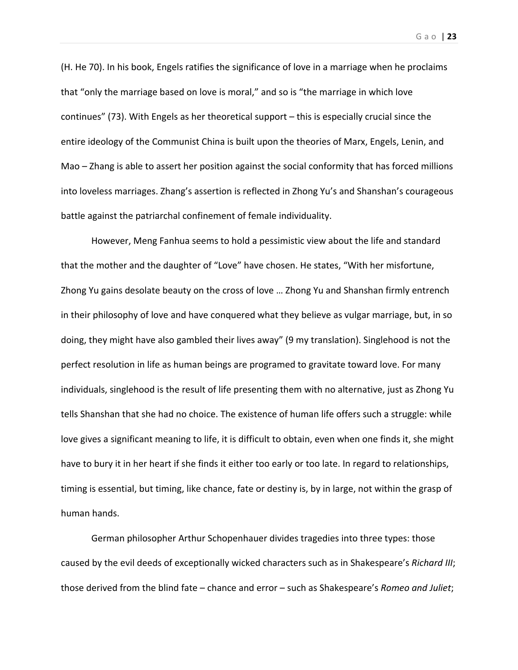(H. He 70). In his book, Engels ratifies the significance of love in a marriage when he proclaims that "only the marriage based on love is moral," and so is "the marriage in which love continues" (73). With Engels as her theoretical support – this is especially crucial since the entire ideology of the Communist China is built upon the theories of Marx, Engels, Lenin, and Mao – Zhang is able to assert her position against the social conformity that has forced millions into loveless marriages. Zhang's assertion is reflected in Zhong Yu's and Shanshan's courageous battle against the patriarchal confinement of female individuality.

However, Meng Fanhua seems to hold a pessimistic view about the life and standard that the mother and the daughter of "Love" have chosen. He states, "With her misfortune, Zhong Yu gains desolate beauty on the cross of love … Zhong Yu and Shanshan firmly entrench in their philosophy of love and have conquered what they believe as vulgar marriage, but, in so doing, they might have also gambled their lives away" (9 my translation). Singlehood is not the perfect resolution in life as human beings are programed to gravitate toward love. For many individuals, singlehood is the result of life presenting them with no alternative, just as Zhong Yu tells Shanshan that she had no choice. The existence of human life offers such a struggle: while love gives a significant meaning to life, it is difficult to obtain, even when one finds it, she might have to bury it in her heart if she finds it either too early or too late. In regard to relationships, timing is essential, but timing, like chance, fate or destiny is, by in large, not within the grasp of human hands.

German philosopher Arthur Schopenhauer divides tragedies into three types: those caused by the evil deeds of exceptionally wicked characters such as in Shakespeare's *Richard III*; those derived from the blind fate – chance and error – such as Shakespeare's *Romeo and Juliet*;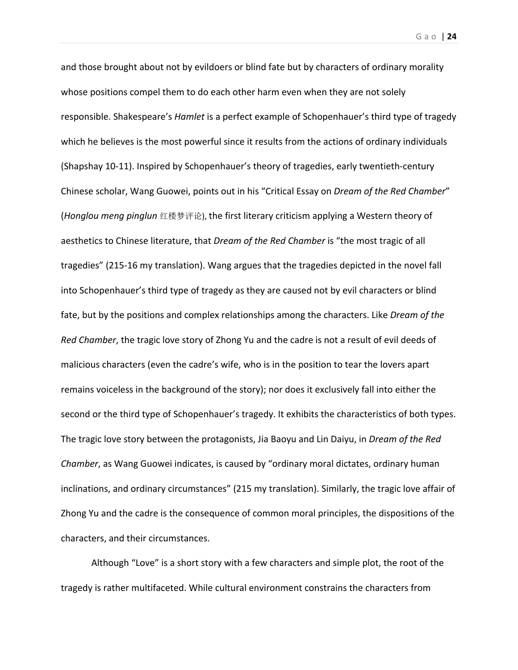and those brought about not by evildoers or blind fate but by characters of ordinary morality whose positions compel them to do each other harm even when they are not solely responsible. Shakespeare's *Hamlet* is a perfect example of Schopenhauer's third type of tragedy which he believes is the most powerful since it results from the actions of ordinary individuals (Shapshay 10‐11). Inspired by Schopenhauer's theory of tragedies, early twentieth‐century Chinese scholar, Wang Guowei, points out in his "Critical Essay on *Dream of the Red Chamber*" (*Honglou meng pinglun* 红楼梦评论), the first literary criticism applying a Western theory of aesthetics to Chinese literature, that *Dream of the Red Chamber* is "the most tragic of all tragedies" (215‐16 my translation). Wang argues that the tragedies depicted in the novel fall into Schopenhauer's third type of tragedy as they are caused not by evil characters or blind fate, but by the positions and complex relationships among the characters. Like *Dream of the Red Chamber*, the tragic love story of Zhong Yu and the cadre is not a result of evil deeds of malicious characters (even the cadre's wife, who is in the position to tear the lovers apart remains voiceless in the background of the story); nor does it exclusively fall into either the second or the third type of Schopenhauer's tragedy. It exhibits the characteristics of both types. The tragic love story between the protagonists, Jia Baoyu and Lin Daiyu, in *Dream of the Red Chamber*, as Wang Guowei indicates, is caused by "ordinary moral dictates, ordinary human inclinations, and ordinary circumstances" (215 my translation). Similarly, the tragic love affair of Zhong Yu and the cadre is the consequence of common moral principles, the dispositions of the characters, and their circumstances.

Although "Love" is a short story with a few characters and simple plot, the root of the tragedy is rather multifaceted. While cultural environment constrains the characters from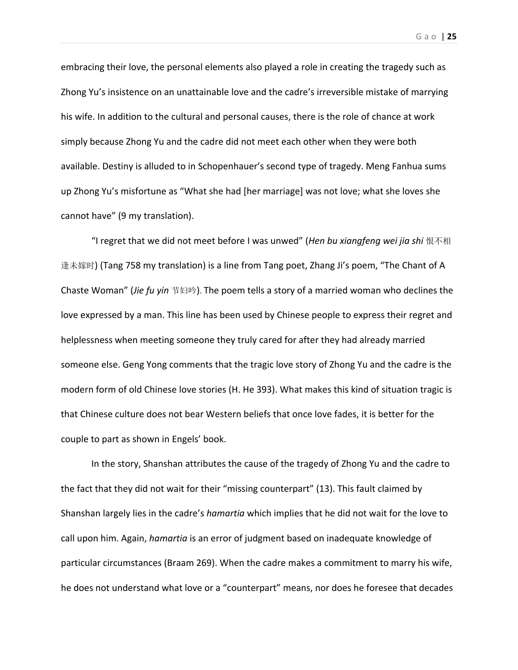embracing their love, the personal elements also played a role in creating the tragedy such as Zhong Yu's insistence on an unattainable love and the cadre's irreversible mistake of marrying his wife. In addition to the cultural and personal causes, there is the role of chance at work simply because Zhong Yu and the cadre did not meet each other when they were both available. Destiny is alluded to in Schopenhauer's second type of tragedy. Meng Fanhua sums up Zhong Yu's misfortune as "What she had [her marriage] was not love; what she loves she cannot have" (9 my translation).

"I regret that we did not meet before I was unwed" (*Hen bu xiangfeng wei jia shi* 恨不相 逢未嫁时) (Tang 758 my translation) is a line from Tang poet, Zhang Ji's poem, "The Chant of A Chaste Woman" (*Jie fu yin* 节妇吟). The poem tells a story of a married woman who declines the love expressed by a man. This line has been used by Chinese people to express their regret and helplessness when meeting someone they truly cared for after they had already married someone else. Geng Yong comments that the tragic love story of Zhong Yu and the cadre is the modern form of old Chinese love stories (H. He 393). What makes this kind of situation tragic is that Chinese culture does not bear Western beliefs that once love fades, it is better for the couple to part as shown in Engels' book.

In the story, Shanshan attributes the cause of the tragedy of Zhong Yu and the cadre to the fact that they did not wait for their "missing counterpart" (13). This fault claimed by Shanshan largely lies in the cadre's *hamartia* which implies that he did not wait for the love to call upon him. Again, *hamartia* is an error of judgment based on inadequate knowledge of particular circumstances (Braam 269). When the cadre makes a commitment to marry his wife, he does not understand what love or a "counterpart" means, nor does he foresee that decades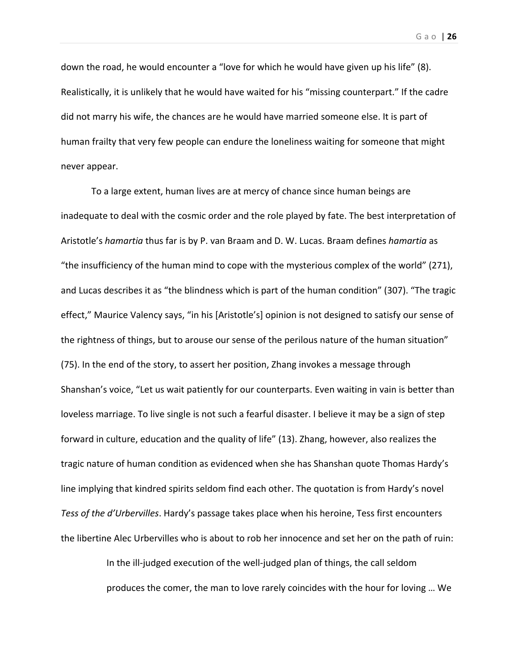down the road, he would encounter a "love for which he would have given up his life" (8). Realistically, it is unlikely that he would have waited for his "missing counterpart." If the cadre did not marry his wife, the chances are he would have married someone else. It is part of human frailty that very few people can endure the loneliness waiting for someone that might never appear.

To a large extent, human lives are at mercy of chance since human beings are inadequate to deal with the cosmic order and the role played by fate. The best interpretation of Aristotle's *hamartia* thus far is by P. van Braam and D. W. Lucas. Braam defines *hamartia* as "the insufficiency of the human mind to cope with the mysterious complex of the world" (271), and Lucas describes it as "the blindness which is part of the human condition" (307). "The tragic effect," Maurice Valency says, "in his [Aristotle's] opinion is not designed to satisfy our sense of the rightness of things, but to arouse our sense of the perilous nature of the human situation" (75). In the end of the story, to assert her position, Zhang invokes a message through Shanshan's voice, "Let us wait patiently for our counterparts. Even waiting in vain is better than loveless marriage. To live single is not such a fearful disaster. I believe it may be a sign of step forward in culture, education and the quality of life" (13). Zhang, however, also realizes the tragic nature of human condition as evidenced when she has Shanshan quote Thomas Hardy's line implying that kindred spirits seldom find each other. The quotation is from Hardy's novel *Tess of the d'Urbervilles*. Hardy's passage takes place when his heroine, Tess first encounters the libertine Alec Urbervilles who is about to rob her innocence and set her on the path of ruin:

> In the ill‐judged execution of the well‐judged plan of things, the call seldom produces the comer, the man to love rarely coincides with the hour for loving … We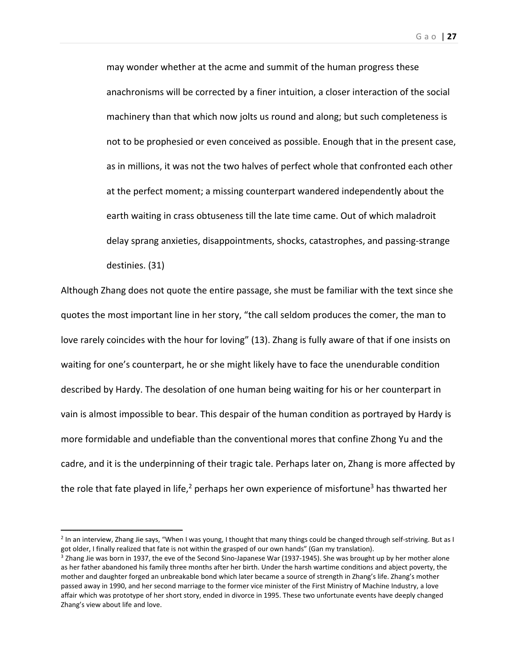Gao | **27**

may wonder whether at the acme and summit of the human progress these anachronisms will be corrected by a finer intuition, a closer interaction of the social machinery than that which now jolts us round and along; but such completeness is not to be prophesied or even conceived as possible. Enough that in the present case, as in millions, it was not the two halves of perfect whole that confronted each other at the perfect moment; a missing counterpart wandered independently about the earth waiting in crass obtuseness till the late time came. Out of which maladroit delay sprang anxieties, disappointments, shocks, catastrophes, and passing‐strange destinies. (31)

Although Zhang does not quote the entire passage, she must be familiar with the text since she quotes the most important line in her story, "the call seldom produces the comer, the man to love rarely coincides with the hour for loving" (13). Zhang is fully aware of that if one insists on waiting for one's counterpart, he or she might likely have to face the unendurable condition described by Hardy. The desolation of one human being waiting for his or her counterpart in vain is almost impossible to bear. This despair of the human condition as portrayed by Hardy is more formidable and undefiable than the conventional mores that confine Zhong Yu and the cadre, and it is the underpinning of their tragic tale. Perhaps later on, Zhang is more affected by the role that fate played in life,<sup>2</sup> perhaps her own experience of misfortune<sup>3</sup> has thwarted her

<sup>2</sup> In an interview, Zhang Jie says, "When I was young, I thought that many things could be changed through self‐striving. But as I got older, I finally realized that fate is not within the grasped of our own hands" (Gan my translation).

<sup>&</sup>lt;sup>3</sup> Zhang Jie was born in 1937, the eve of the Second Sino-Japanese War (1937-1945). She was brought up by her mother alone as her father abandoned his family three months after her birth. Under the harsh wartime conditions and abject poverty, the mother and daughter forged an unbreakable bond which later became a source of strength in Zhang's life. Zhang's mother passed away in 1990, and her second marriage to the former vice minister of the First Ministry of Machine Industry, a love affair which was prototype of her short story, ended in divorce in 1995. These two unfortunate events have deeply changed Zhang's view about life and love.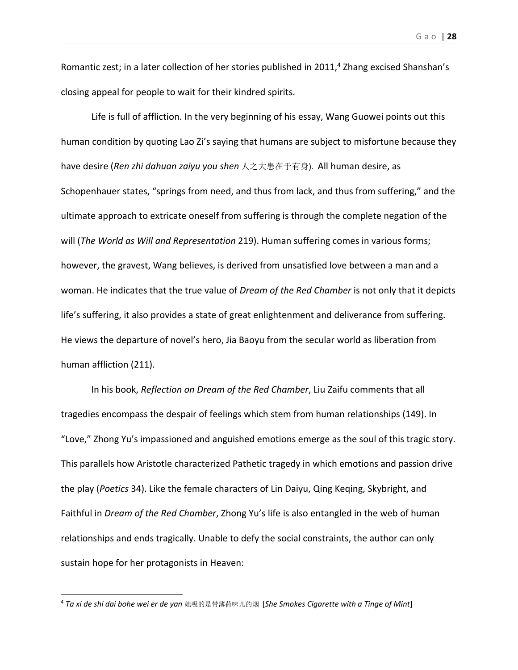Romantic zest; in a later collection of her stories published in 2011,<sup>4</sup> Zhang excised Shanshan's closing appeal for people to wait for their kindred spirits.

Life is full of affliction. In the very beginning of his essay, Wang Guowei points out this human condition by quoting Lao Zi's saying that humans are subject to misfortune because they have desire (*Ren zhi dahuan zaiyu you shen* 人之大患在于有身). All human desire, as Schopenhauer states, "springs from need, and thus from lack, and thus from suffering," and the ultimate approach to extricate oneself from suffering is through the complete negation of the will (*The World as Will and Representation* 219). Human suffering comes in various forms; however, the gravest, Wang believes, is derived from unsatisfied love between a man and a woman. He indicates that the true value of *Dream of the Red Chamber* is not only that it depicts life's suffering, it also provides a state of great enlightenment and deliverance from suffering. He views the departure of novel's hero, Jia Baoyu from the secular world as liberation from human affliction (211).

In his book, *Reflection on Dream of the Red Chamber*, Liu Zaifu comments that all tragedies encompass the despair of feelings which stem from human relationships (149). In "Love," Zhong Yu's impassioned and anguished emotions emerge as the soul of this tragic story. This parallels how Aristotle characterized Pathetic tragedy in which emotions and passion drive the play (*Poetics* 34). Like the female characters of Lin Daiyu, Qing Keqing, Skybright, and Faithful in *Dream of the Red Chamber*, Zhong Yu's life is also entangled in the web of human relationships and ends tragically. Unable to defy the social constraints, the author can only sustain hope for her protagonists in Heaven:

<sup>4</sup> *Ta xi de shi dai bohe wei er de yan* 她吸的是带薄荷味儿的烟 [*She Smokes Cigarette with a Tinge of Mint*]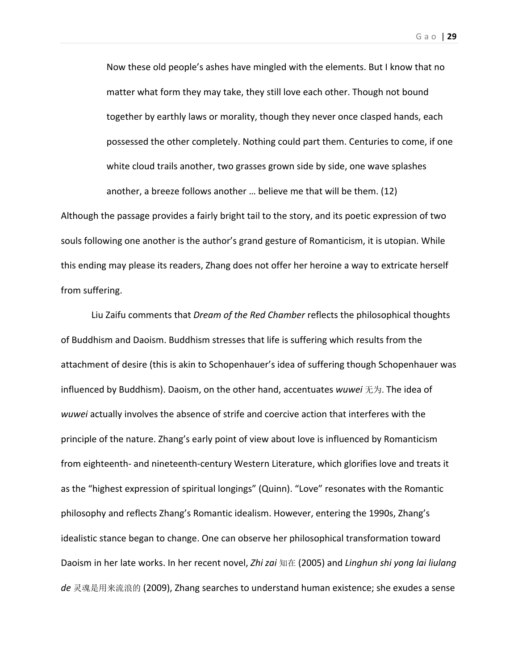Now these old people's ashes have mingled with the elements. But I know that no matter what form they may take, they still love each other. Though not bound together by earthly laws or morality, though they never once clasped hands, each possessed the other completely. Nothing could part them. Centuries to come, if one white cloud trails another, two grasses grown side by side, one wave splashes another, a breeze follows another … believe me that will be them. (12)

Although the passage provides a fairly bright tail to the story, and its poetic expression of two souls following one another is the author's grand gesture of Romanticism, it is utopian. While this ending may please its readers, Zhang does not offer her heroine a way to extricate herself from suffering.

Liu Zaifu comments that *Dream of the Red Chamber* reflects the philosophical thoughts of Buddhism and Daoism. Buddhism stresses that life is suffering which results from the attachment of desire (this is akin to Schopenhauer's idea of suffering though Schopenhauer was influenced by Buddhism). Daoism, on the other hand, accentuates *wuwei* 无为. The idea of *wuwei* actually involves the absence of strife and coercive action that interferes with the principle of the nature. Zhang's early point of view about love is influenced by Romanticism from eighteenth‐ and nineteenth‐century Western Literature, which glorifies love and treats it as the "highest expression of spiritual longings" (Quinn). "Love" resonates with the Romantic philosophy and reflects Zhang's Romantic idealism. However, entering the 1990s, Zhang's idealistic stance began to change. One can observe her philosophical transformation toward Daoism in her late works. In her recent novel, *Zhi zai* 知在 (2005) and *Linghun shi yong lai liulang de* 灵魂是用来流浪的 (2009), Zhang searches to understand human existence; she exudes a sense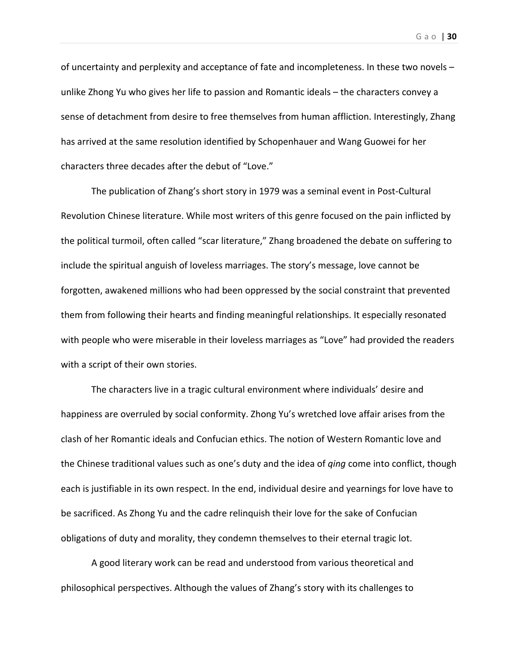of uncertainty and perplexity and acceptance of fate and incompleteness. In these two novels – unlike Zhong Yu who gives her life to passion and Romantic ideals – the characters convey a sense of detachment from desire to free themselves from human affliction. Interestingly, Zhang has arrived at the same resolution identified by Schopenhauer and Wang Guowei for her characters three decades after the debut of "Love."

The publication of Zhang's short story in 1979 was a seminal event in Post‐Cultural Revolution Chinese literature. While most writers of this genre focused on the pain inflicted by the political turmoil, often called "scar literature," Zhang broadened the debate on suffering to include the spiritual anguish of loveless marriages. The story's message, love cannot be forgotten, awakened millions who had been oppressed by the social constraint that prevented them from following their hearts and finding meaningful relationships. It especially resonated with people who were miserable in their loveless marriages as "Love" had provided the readers with a script of their own stories.

The characters live in a tragic cultural environment where individuals' desire and happiness are overruled by social conformity. Zhong Yu's wretched love affair arises from the clash of her Romantic ideals and Confucian ethics. The notion of Western Romantic love and the Chinese traditional values such as one's duty and the idea of *qing* come into conflict, though each is justifiable in its own respect. In the end, individual desire and yearnings for love have to be sacrificed. As Zhong Yu and the cadre relinquish their love for the sake of Confucian obligations of duty and morality, they condemn themselves to their eternal tragic lot.

A good literary work can be read and understood from various theoretical and philosophical perspectives. Although the values of Zhang's story with its challenges to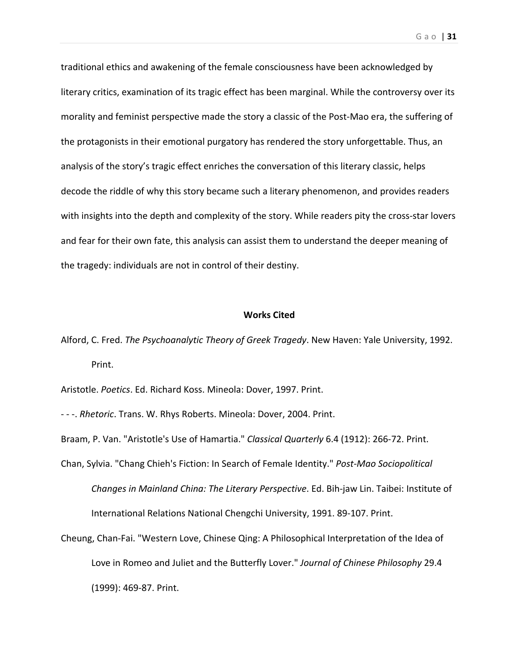traditional ethics and awakening of the female consciousness have been acknowledged by literary critics, examination of its tragic effect has been marginal. While the controversy over its morality and feminist perspective made the story a classic of the Post‐Mao era, the suffering of the protagonists in their emotional purgatory has rendered the story unforgettable. Thus, an analysis of the story's tragic effect enriches the conversation of this literary classic, helps decode the riddle of why this story became such a literary phenomenon, and provides readers with insights into the depth and complexity of the story. While readers pity the cross-star lovers and fear for their own fate, this analysis can assist them to understand the deeper meaning of the tragedy: individuals are not in control of their destiny.

### **Works Cited**

Alford, C. Fred. *The Psychoanalytic Theory of Greek Tragedy*. New Haven: Yale University, 1992. Print.

Aristotle. *Poetics*. Ed. Richard Koss. Mineola: Dover, 1997. Print.

‐ ‐ ‐. *Rhetoric*. Trans. W. Rhys Roberts. Mineola: Dover, 2004. Print.

Braam, P. Van. "Aristotle's Use of Hamartia." *Classical Quarterly* 6.4 (1912): 266‐72. Print.

- Chan, Sylvia. "Chang Chieh's Fiction: In Search of Female Identity." *Post‐Mao Sociopolitical Changes in Mainland China: The Literary Perspective*. Ed. Bih‐jaw Lin. Taibei: Institute of International Relations National Chengchi University, 1991. 89‐107. Print.
- Cheung, Chan‐Fai. "Western Love, Chinese Qing: A Philosophical Interpretation of the Idea of Love in Romeo and Juliet and the Butterfly Lover." *Journal of Chinese Philosophy* 29.4 (1999): 469‐87. Print.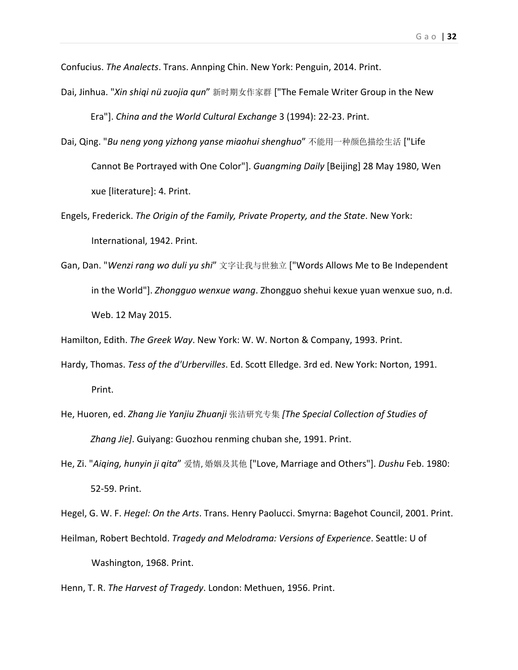Confucius. *The Analects*. Trans. Annping Chin. New York: Penguin, 2014. Print.

Dai, Jinhua. "*Xin shiqi nü zuojia qun*" 新时期女作家群 ["The Female Writer Group in the New

Era"]. *China and the World Cultural Exchange* 3 (1994): 22‐23. Print.

- Dai, Qing. "*Bu neng yong yizhong yanse miaohui shenghuo*" 不能用一种颜色描绘生活 ["Life Cannot Be Portrayed with One Color"]. *Guangming Daily* [Beijing] 28 May 1980, Wen xue [literature]: 4. Print.
- Engels, Frederick. *The Origin of the Family, Private Property, and the State*. New York: International, 1942. Print.
- Gan, Dan. "*Wenzi rang wo duli yu shi*" 文字让我与世独立 ["Words Allows Me to Be Independent in the World"]. *Zhongguo wenxue wang*. Zhongguo shehui kexue yuan wenxue suo, n.d. Web. 12 May 2015.

Hamilton, Edith. *The Greek Way*. New York: W. W. Norton & Company, 1993. Print.

- Hardy, Thomas. *Tess of the d'Urbervilles*. Ed. Scott Elledge. 3rd ed. New York: Norton, 1991. Print.
- He, Huoren, ed. *Zhang Jie Yanjiu Zhuanji* 张洁研究专集 *[The Special Collection of Studies of Zhang Jie]*. Guiyang: Guozhou renming chuban she, 1991. Print.
- He, Zi. "*Aiqing, hunyin ji qita*" 爱情, 婚姻及其他 ["Love, Marriage and Others"]. *Dushu* Feb. 1980: 52‐59. Print.

Hegel, G. W. F. *Hegel: On the Arts*. Trans. Henry Paolucci. Smyrna: Bagehot Council, 2001. Print.

Heilman, Robert Bechtold. *Tragedy and Melodrama: Versions of Experience*. Seattle: U of Washington, 1968. Print.

Henn, T. R. *The Harvest of Tragedy*. London: Methuen, 1956. Print.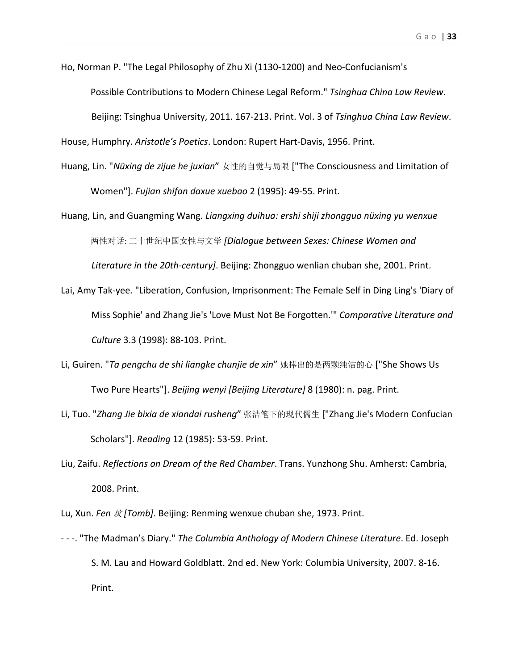Ho, Norman P. "The Legal Philosophy of Zhu Xi (1130‐1200) and Neo‐Confucianism's

Possible Contributions to Modern Chinese Legal Reform." *Tsinghua China Law Review*.

Beijing: Tsinghua University, 2011. 167‐213. Print. Vol. 3 of *Tsinghua China Law Review*.

House, Humphry. *Aristotle's Poetics*. London: Rupert Hart‐Davis, 1956. Print.

Huang, Lin. "*Nüxing de zijue he juxian*" 女性的自觉与局限 ["The Consciousness and Limitation of Women"]. *Fujian shifan daxue xuebao* 2 (1995): 49‐55. Print.

Huang, Lin, and Guangming Wang. *Liangxing duihua: ershi shiji zhongguo nüxing yu wenxue*  两性对话: 二十世纪中国女性与文学 *[Dialogue between Sexes: Chinese Women and*

*Literature in the 20th‐century]*. Beijing: Zhongguo wenlian chuban she, 2001. Print.

- Lai, Amy Tak‐yee. "Liberation, Confusion, Imprisonment: The Female Self in Ding Ling's 'Diary of Miss Sophie' and Zhang Jie's 'Love Must Not Be Forgotten.'" *Comparative Literature and Culture* 3.3 (1998): 88‐103. Print.
- Li, Guiren. "*Ta pengchu de shi liangke chunjie de xin*" 她捧出的是两颗纯洁的心 ["She Shows Us Two Pure Hearts"]. *Beijing wenyi [Beijing Literature]* 8 (1980): n. pag. Print.
- Li, Tuo. "*Zhang Jie bixia de xiandai rusheng*" 张洁笔下的现代儒生 ["Zhang Jie's Modern Confucian Scholars"]. *Reading* 12 (1985): 53‐59. Print.
- Liu, Zaifu. *Reflections on Dream of the Red Chamber*. Trans. Yunzhong Shu. Amherst: Cambria, 2008. Print.

Lu, Xun. *Fen* 坟 *[Tomb]*. Beijing: Renming wenxue chuban she, 1973. Print.

‐ ‐ ‐. "The Madman's Diary." *The Columbia Anthology of Modern Chinese Literature*. Ed. Joseph S. M. Lau and Howard Goldblatt. 2nd ed. New York: Columbia University, 2007. 8‐16. Print.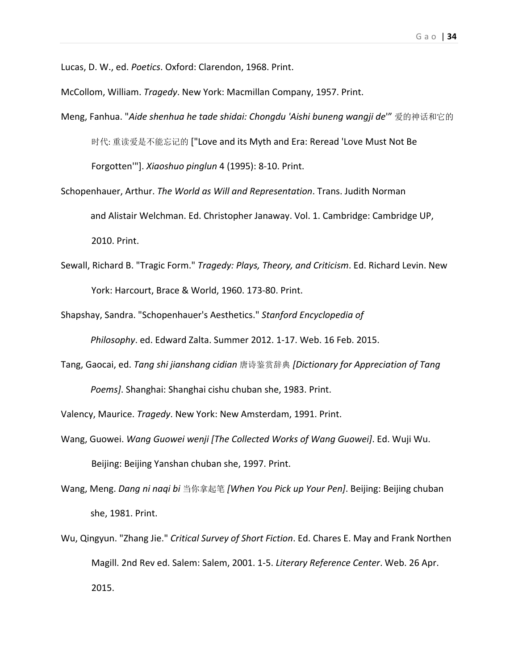Lucas, D. W., ed. *Poetics*. Oxford: Clarendon, 1968. Print.

McCollom, William. *Tragedy*. New York: Macmillan Company, 1957. Print.

- Meng, Fanhua. "*Aide shenhua he tade shidai: Chongdu 'Aishi buneng wangji de*'" 爱的神话和它的 时代: 重读爱是不能忘记的 ["Love and its Myth and Era: Reread 'Love Must Not Be Forgotten'"]. *Xiaoshuo pinglun* 4 (1995): 8‐10. Print.
- Schopenhauer, Arthur. *The World as Will and Representation*. Trans. Judith Norman and Alistair Welchman. Ed. Christopher Janaway. Vol. 1. Cambridge: Cambridge UP, 2010. Print.
- Sewall, Richard B. "Tragic Form." *Tragedy: Plays, Theory, and Criticism*. Ed. Richard Levin. New York: Harcourt, Brace & World, 1960. 173‐80. Print.
- Shapshay, Sandra. "Schopenhauer's Aesthetics." *Stanford Encyclopedia of Philosophy*. ed. Edward Zalta. Summer 2012. 1‐17. Web. 16 Feb. 2015.
- Tang, Gaocai, ed. *Tang shi jianshang cidian* 唐诗鉴赏辞典 *[Dictionary for Appreciation of Tang Poems]*. Shanghai: Shanghai cishu chuban she, 1983. Print.

Valency, Maurice. *Tragedy*. New York: New Amsterdam, 1991. Print.

- Wang, Guowei. *Wang Guowei wenji [The Collected Works of Wang Guowei]*. Ed. Wuji Wu. Beijing: Beijing Yanshan chuban she, 1997. Print.
- Wang, Meng. *Dang ni naqi bi* 当你拿起笔 *[When You Pick up Your Pen]*. Beijing: Beijing chuban she, 1981. Print.
- Wu, Qingyun. "Zhang Jie." *Critical Survey of Short Fiction*. Ed. Chares E. May and Frank Northen Magill. 2nd Rev ed. Salem: Salem, 2001. 1‐5. *Literary Reference Center*. Web. 26 Apr. 2015.